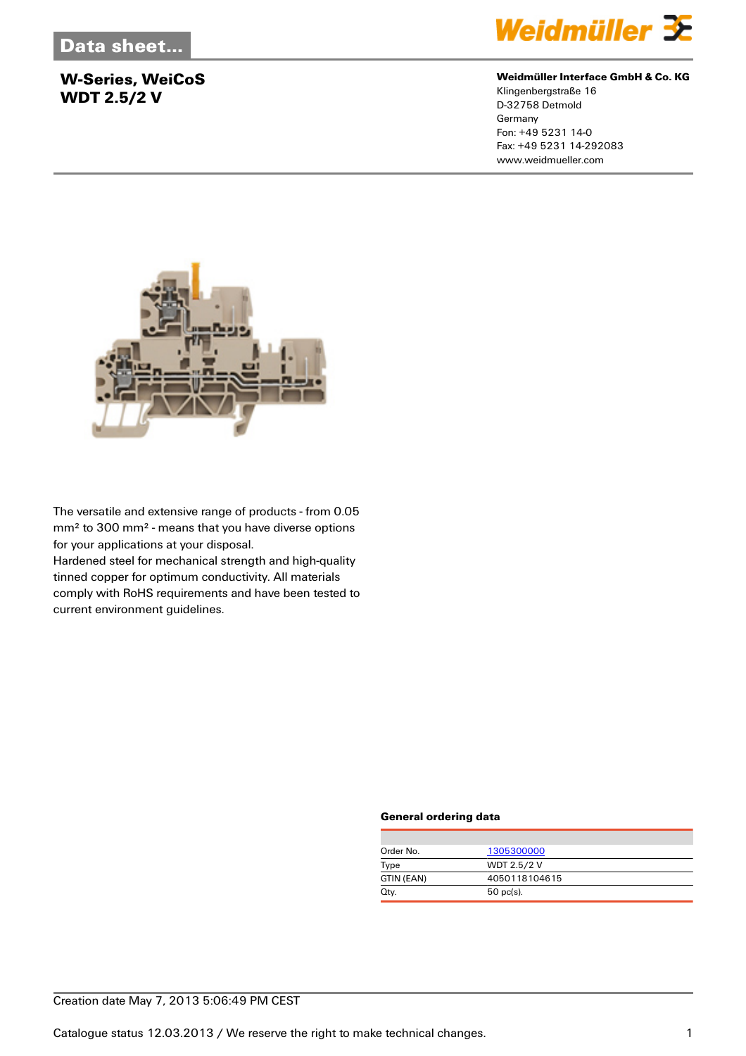### **W-Series, WeiCoS WDT 2.5/2 V**



#### **Weidmüller Interface GmbH & Co. KG**

Klingenbergstraße 16 D-32758 Detmold Germany Fon: +49 5231 14-0 Fax: +49 5231 14-292083 www.weidmueller.com



The versatile and extensive range of products - from 0.05 mm² to 300 mm² - means that you have diverse options for your applications at your disposal.

Hardened steel for mechanical strength and high-quality tinned copper for optimum conductivity. All materials comply with RoHS requirements and have been tested to current environment guidelines.

#### **General ordering data**

| Order No.  | 1305300000         |
|------------|--------------------|
| Type       | <b>WDT 2.5/2 V</b> |
| GTIN (EAN) | 4050118104615      |
| Qty.       | $50$ pc(s).        |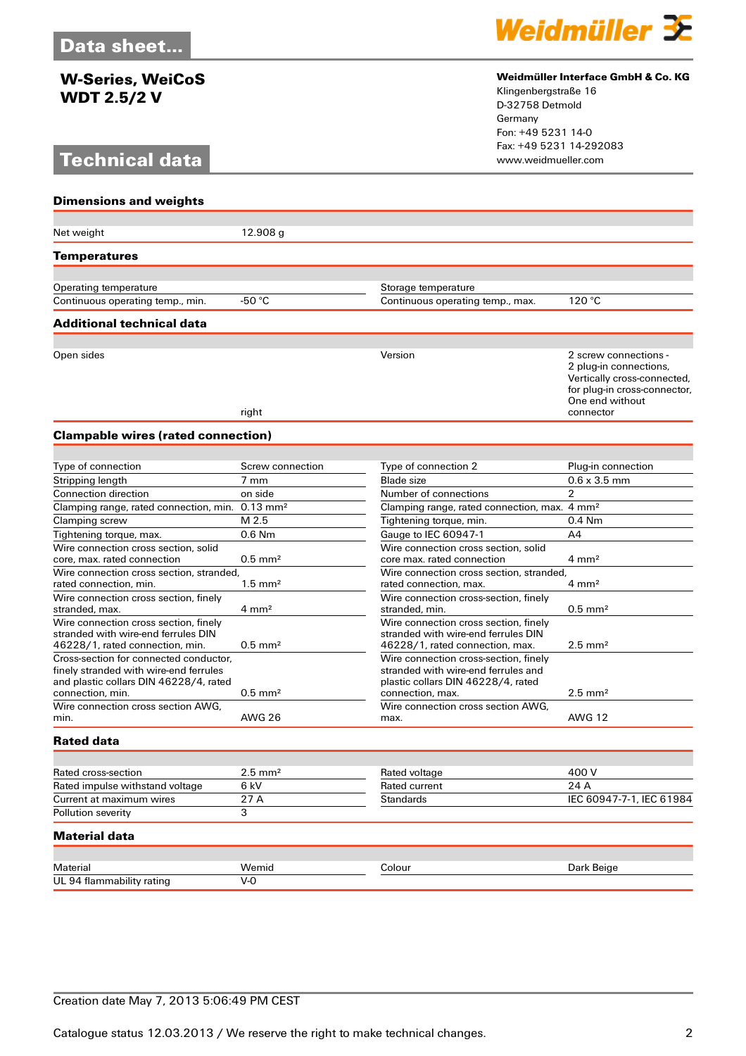### **W-Series, WeiCoS WDT 2.5/2 V**

## **Technical data**



#### **Weidmüller Interface GmbH & Co. KG**

Klingenbergstraße 16 D-32758 Detmold Germany Fon: +49 5231 14-0 Fax: +49 5231 14-292083

| <b>Dimensions and weights</b>                                                                                                                  |                       |                                                                                                                                        |                                                                                                                                                |
|------------------------------------------------------------------------------------------------------------------------------------------------|-----------------------|----------------------------------------------------------------------------------------------------------------------------------------|------------------------------------------------------------------------------------------------------------------------------------------------|
| Net weight                                                                                                                                     | 12.908g               |                                                                                                                                        |                                                                                                                                                |
| Temperatures                                                                                                                                   |                       |                                                                                                                                        |                                                                                                                                                |
|                                                                                                                                                |                       |                                                                                                                                        |                                                                                                                                                |
| Operating temperature                                                                                                                          |                       | Storage temperature                                                                                                                    |                                                                                                                                                |
| Continuous operating temp., min.                                                                                                               | -50 $\degree$ C       | Continuous operating temp., max.                                                                                                       | 120 °C                                                                                                                                         |
| Additional technical data                                                                                                                      |                       |                                                                                                                                        |                                                                                                                                                |
| Open sides                                                                                                                                     | right                 | Version                                                                                                                                | 2 screw connections -<br>2 plug-in connections,<br>Vertically cross-connected,<br>for plug-in cross-connector,<br>One end without<br>connector |
| <b>Clampable wires (rated connection)</b>                                                                                                      |                       |                                                                                                                                        |                                                                                                                                                |
|                                                                                                                                                |                       |                                                                                                                                        |                                                                                                                                                |
| Type of connection                                                                                                                             | Screw connection      | Type of connection 2                                                                                                                   | Plug-in connection                                                                                                                             |
| Stripping length                                                                                                                               | 7 mm                  | <b>Blade</b> size                                                                                                                      | $0.6 \times 3.5$ mm                                                                                                                            |
| <b>Connection direction</b>                                                                                                                    | on side               | Number of connections                                                                                                                  | $\overline{2}$                                                                                                                                 |
| Clamping range, rated connection, min. 0.13 mm <sup>2</sup>                                                                                    |                       | Clamping range, rated connection, max.                                                                                                 | $4 \text{ mm}^2$                                                                                                                               |
| Clamping screw                                                                                                                                 | M 2.5                 | Tightening torque, min.                                                                                                                | 0.4 Nm                                                                                                                                         |
| Tightening torque, max.                                                                                                                        | $0.6$ Nm              | Gauge to IEC 60947-1                                                                                                                   | A4                                                                                                                                             |
| Wire connection cross section, solid                                                                                                           |                       | Wire connection cross section, solid                                                                                                   |                                                                                                                                                |
| core, max. rated connection                                                                                                                    | $0.5$ mm <sup>2</sup> | core max. rated connection                                                                                                             | $4 \text{ mm}^2$                                                                                                                               |
| Wire connection cross section, stranded,                                                                                                       |                       | Wire connection cross section, stranded,                                                                                               |                                                                                                                                                |
| rated connection, min.                                                                                                                         | $1.5 \text{ mm}^2$    | rated connection, max.                                                                                                                 | $4 \text{ mm}^2$                                                                                                                               |
| Wire connection cross section, finely<br>stranded, max.                                                                                        | $4 \text{ mm}^2$      | Wire connection cross-section, finely<br>stranded, min.                                                                                | $0.5$ mm <sup>2</sup>                                                                                                                          |
| Wire connection cross section, finely                                                                                                          |                       | Wire connection cross section, finely                                                                                                  |                                                                                                                                                |
| stranded with wire-end ferrules DIN                                                                                                            |                       | stranded with wire-end ferrules DIN                                                                                                    |                                                                                                                                                |
| 46228/1, rated connection, min.                                                                                                                | $0.5$ mm <sup>2</sup> | 46228/1, rated connection, max.                                                                                                        | $2.5$ mm <sup>2</sup>                                                                                                                          |
| Cross-section for connected conductor,<br>finely stranded with wire-end ferrules<br>and plastic collars DIN 46228/4, rated<br>connection, min. | $0.5$ mm <sup>2</sup> | Wire connection cross-section, finely<br>stranded with wire-end ferrules and<br>plastic collars DIN 46228/4, rated<br>connection, max. | $2.5$ mm <sup>2</sup>                                                                                                                          |
| Wire connection cross section AWG,<br>min.                                                                                                     | <b>AWG 26</b>         | Wire connection cross section AWG,<br>max.                                                                                             | <b>AWG 12</b>                                                                                                                                  |
| <b>Rated data</b>                                                                                                                              |                       |                                                                                                                                        |                                                                                                                                                |
|                                                                                                                                                |                       |                                                                                                                                        |                                                                                                                                                |
| Rated cross-section                                                                                                                            | $2.5$ mm <sup>2</sup> | Rated voltage                                                                                                                          | 400 V                                                                                                                                          |
| Rated impulse withstand voltage                                                                                                                | 6 kV                  | Rated current                                                                                                                          | 24 A                                                                                                                                           |
| Current at maximum wires                                                                                                                       | 27 A                  | Standards                                                                                                                              | IEC 60947-7-1, IEC 61984                                                                                                                       |
| Pollution severity                                                                                                                             | 3                     |                                                                                                                                        |                                                                                                                                                |
| <b>Material data</b>                                                                                                                           |                       |                                                                                                                                        |                                                                                                                                                |
| Material                                                                                                                                       |                       |                                                                                                                                        |                                                                                                                                                |
| UL 94 flammability rating                                                                                                                      | Wemid<br>$V-0$        | Colour                                                                                                                                 | Dark Beige                                                                                                                                     |
|                                                                                                                                                |                       |                                                                                                                                        |                                                                                                                                                |